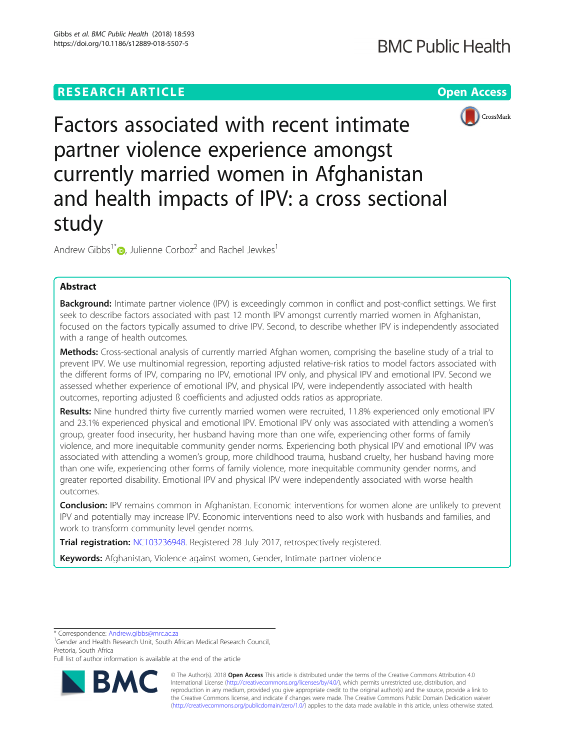# **RESEARCH ARTICLE Example 2014 12:30 The Contract of Contract ACCESS**



Factors associated with recent intimate partner violence experience amongst currently married women in Afghanistan and health impacts of IPV: a cross sectional study

Andrew Gibbs<sup>1[\\*](http://orcid.org/0000-0003-2812-5377)</sup> $\omega$ , Julienne Corboz<sup>2</sup> and Rachel Jewkes<sup>1</sup>

## Abstract

Background: Intimate partner violence (IPV) is exceedingly common in conflict and post-conflict settings. We first seek to describe factors associated with past 12 month IPV amongst currently married women in Afghanistan, focused on the factors typically assumed to drive IPV. Second, to describe whether IPV is independently associated with a range of health outcomes.

Methods: Cross-sectional analysis of currently married Afghan women, comprising the baseline study of a trial to prevent IPV. We use multinomial regression, reporting adjusted relative-risk ratios to model factors associated with the different forms of IPV, comparing no IPV, emotional IPV only, and physical IPV and emotional IPV. Second we assessed whether experience of emotional IPV, and physical IPV, were independently associated with health outcomes, reporting adjusted ß coefficients and adjusted odds ratios as appropriate.

Results: Nine hundred thirty five currently married women were recruited, 11.8% experienced only emotional IPV and 23.1% experienced physical and emotional IPV. Emotional IPV only was associated with attending a women's group, greater food insecurity, her husband having more than one wife, experiencing other forms of family violence, and more inequitable community gender norms. Experiencing both physical IPV and emotional IPV was associated with attending a women's group, more childhood trauma, husband cruelty, her husband having more than one wife, experiencing other forms of family violence, more inequitable community gender norms, and greater reported disability. Emotional IPV and physical IPV were independently associated with worse health outcomes.

Conclusion: IPV remains common in Afghanistan. Economic interventions for women alone are unlikely to prevent IPV and potentially may increase IPV. Economic interventions need to also work with husbands and families, and work to transform community level gender norms.

Trial registration: [NCT03236948](https://clinicaltrials.gov/ct2/show/NCT03236948). Registered 28 July 2017, retrospectively registered.

Keywords: Afghanistan, Violence against women, Gender, Intimate partner violence

\* Correspondence: [Andrew.gibbs@mrc.ac.za](mailto:Andrew.gibbs@mrc.ac.za) <sup>1</sup>

<sup>1</sup>Gender and Health Research Unit, South African Medical Research Council, Pretoria, South Africa

Full list of author information is available at the end of the article



© The Author(s). 2018 Open Access This article is distributed under the terms of the Creative Commons Attribution 4.0 International License [\(http://creativecommons.org/licenses/by/4.0/](http://creativecommons.org/licenses/by/4.0/)), which permits unrestricted use, distribution, and reproduction in any medium, provided you give appropriate credit to the original author(s) and the source, provide a link to the Creative Commons license, and indicate if changes were made. The Creative Commons Public Domain Dedication waiver [\(http://creativecommons.org/publicdomain/zero/1.0/](http://creativecommons.org/publicdomain/zero/1.0/)) applies to the data made available in this article, unless otherwise stated.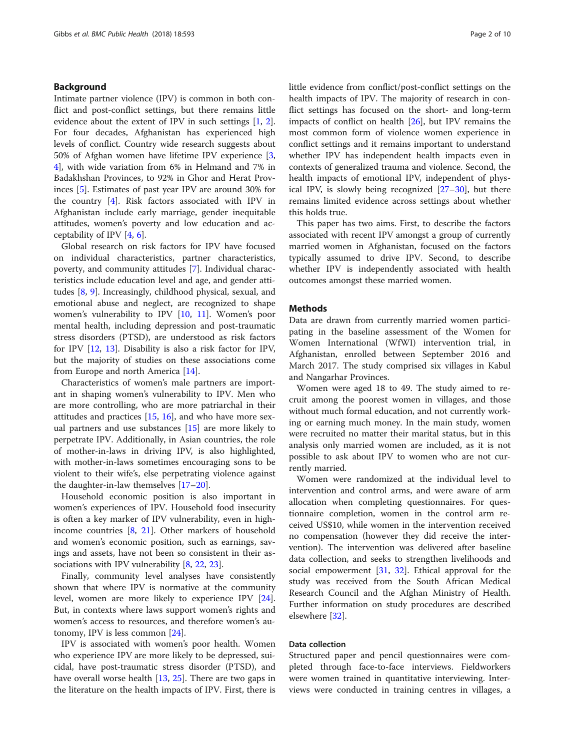## Background

Intimate partner violence (IPV) is common in both conflict and post-conflict settings, but there remains little evidence about the extent of IPV in such settings [[1,](#page-8-0) [2](#page-8-0)]. For four decades, Afghanistan has experienced high levels of conflict. Country wide research suggests about 50% of Afghan women have lifetime IPV experience [\[3](#page-8-0), [4\]](#page-8-0), with wide variation from 6% in Helmand and 7% in Badakhshan Provinces, to 92% in Ghor and Herat Provinces [[5\]](#page-8-0). Estimates of past year IPV are around 30% for the country [\[4](#page-8-0)]. Risk factors associated with IPV in Afghanistan include early marriage, gender inequitable attitudes, women's poverty and low education and acceptability of IPV [\[4](#page-8-0), [6](#page-8-0)].

Global research on risk factors for IPV have focused on individual characteristics, partner characteristics, poverty, and community attitudes [[7\]](#page-8-0). Individual characteristics include education level and age, and gender attitudes [[8,](#page-8-0) [9](#page-8-0)]. Increasingly, childhood physical, sexual, and emotional abuse and neglect, are recognized to shape women's vulnerability to IPV [\[10](#page-8-0), [11](#page-9-0)]. Women's poor mental health, including depression and post-traumatic stress disorders (PTSD), are understood as risk factors for IPV [\[12](#page-9-0), [13](#page-9-0)]. Disability is also a risk factor for IPV, but the majority of studies on these associations come from Europe and north America [[14\]](#page-9-0).

Characteristics of women's male partners are important in shaping women's vulnerability to IPV. Men who are more controlling, who are more patriarchal in their attitudes and practices  $[15, 16]$  $[15, 16]$  $[15, 16]$  $[15, 16]$ , and who have more sexual partners and use substances [\[15\]](#page-9-0) are more likely to perpetrate IPV. Additionally, in Asian countries, the role of mother-in-laws in driving IPV, is also highlighted, with mother-in-laws sometimes encouraging sons to be violent to their wife's, else perpetrating violence against the daughter-in-law themselves [[17](#page-9-0)–[20\]](#page-9-0).

Household economic position is also important in women's experiences of IPV. Household food insecurity is often a key marker of IPV vulnerability, even in highincome countries [\[8](#page-8-0), [21\]](#page-9-0). Other markers of household and women's economic position, such as earnings, savings and assets, have not been so consistent in their associations with IPV vulnerability [[8,](#page-8-0) [22](#page-9-0), [23](#page-9-0)].

Finally, community level analyses have consistently shown that where IPV is normative at the community level, women are more likely to experience IPV [\[24](#page-9-0)]. But, in contexts where laws support women's rights and women's access to resources, and therefore women's autonomy, IPV is less common [[24\]](#page-9-0).

IPV is associated with women's poor health. Women who experience IPV are more likely to be depressed, suicidal, have post-traumatic stress disorder (PTSD), and have overall worse health [[13,](#page-9-0) [25\]](#page-9-0). There are two gaps in the literature on the health impacts of IPV. First, there is little evidence from conflict/post-conflict settings on the health impacts of IPV. The majority of research in conflict settings has focused on the short- and long-term impacts of conflict on health [\[26](#page-9-0)], but IPV remains the most common form of violence women experience in conflict settings and it remains important to understand whether IPV has independent health impacts even in contexts of generalized trauma and violence. Second, the health impacts of emotional IPV, independent of physical IPV, is slowly being recognized [\[27](#page-9-0)–[30\]](#page-9-0), but there remains limited evidence across settings about whether this holds true.

This paper has two aims. First, to describe the factors associated with recent IPV amongst a group of currently married women in Afghanistan, focused on the factors typically assumed to drive IPV. Second, to describe whether IPV is independently associated with health outcomes amongst these married women.

## **Methods**

Data are drawn from currently married women participating in the baseline assessment of the Women for Women International (WfWI) intervention trial, in Afghanistan, enrolled between September 2016 and March 2017. The study comprised six villages in Kabul and Nangarhar Provinces.

Women were aged 18 to 49. The study aimed to recruit among the poorest women in villages, and those without much formal education, and not currently working or earning much money. In the main study, women were recruited no matter their marital status, but in this analysis only married women are included, as it is not possible to ask about IPV to women who are not currently married.

Women were randomized at the individual level to intervention and control arms, and were aware of arm allocation when completing questionnaires. For questionnaire completion, women in the control arm received US\$10, while women in the intervention received no compensation (however they did receive the intervention). The intervention was delivered after baseline data collection, and seeks to strengthen livelihoods and social empowerment [\[31](#page-9-0), [32](#page-9-0)]. Ethical approval for the study was received from the South African Medical Research Council and the Afghan Ministry of Health. Further information on study procedures are described elsewhere [[32](#page-9-0)].

## Data collection

Structured paper and pencil questionnaires were completed through face-to-face interviews. Fieldworkers were women trained in quantitative interviewing. Interviews were conducted in training centres in villages, a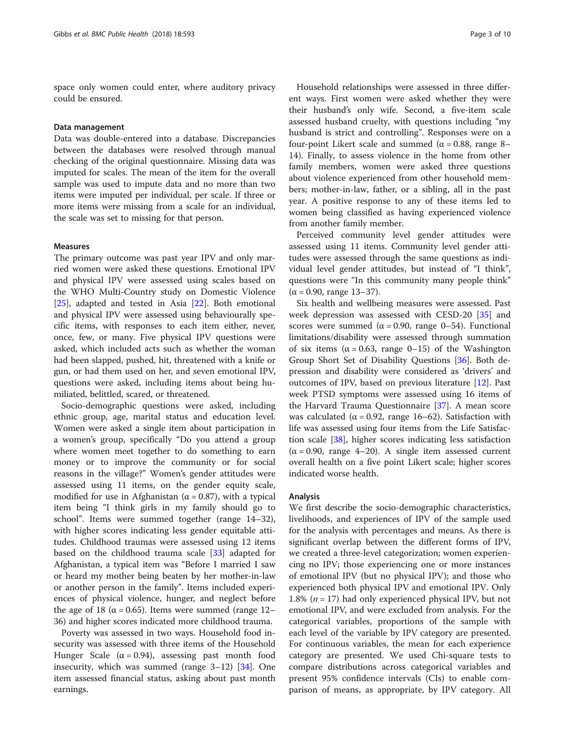space only women could enter, where auditory privacy could be ensured.

## Data management

Data was double-entered into a database. Discrepancies between the databases were resolved through manual checking of the original questionnaire. Missing data was imputed for scales. The mean of the item for the overall sample was used to impute data and no more than two items were imputed per individual, per scale. If three or more items were missing from a scale for an individual, the scale was set to missing for that person.

## Measures

The primary outcome was past year IPV and only married women were asked these questions. Emotional IPV and physical IPV were assessed using scales based on the WHO Multi-Country study on Domestic Violence [[25\]](#page-9-0), adapted and tested in Asia [\[22\]](#page-9-0). Both emotional and physical IPV were assessed using behaviourally specific items, with responses to each item either, never, once, few, or many. Five physical IPV questions were asked, which included acts such as whether the woman had been slapped, pushed, hit, threatened with a knife or gun, or had them used on her, and seven emotional IPV, questions were asked, including items about being humiliated, belittled, scared, or threatened.

Socio-demographic questions were asked, including ethnic group, age, marital status and education level. Women were asked a single item about participation in a women's group, specifically "Do you attend a group where women meet together to do something to earn money or to improve the community or for social reasons in the village?" Women's gender attitudes were assessed using 11 items, on the gender equity scale, modified for use in Afghanistan ( $\alpha$  = 0.87), with a typical item being "I think girls in my family should go to school". Items were summed together (range 14–32), with higher scores indicating less gender equitable attitudes. Childhood traumas were assessed using 12 items based on the childhood trauma scale [\[33](#page-9-0)] adapted for Afghanistan, a typical item was "Before I married I saw or heard my mother being beaten by her mother-in-law or another person in the family". Items included experiences of physical violence, hunger, and neglect before the age of 18 ( $\alpha$  = 0.65). Items were summed (range 12– 36) and higher scores indicated more childhood trauma.

Poverty was assessed in two ways. Household food insecurity was assessed with three items of the Household Hunger Scale ( $\alpha$  = 0.94), assessing past month food insecurity, which was summed (range 3–12) [\[34](#page-9-0)]. One item assessed financial status, asking about past month earnings.

Household relationships were assessed in three different ways. First women were asked whether they were their husband's only wife. Second, a five-item scale assessed husband cruelty, with questions including "my husband is strict and controlling". Responses were on a four-point Likert scale and summed (α = 0.88, range 8– 14). Finally, to assess violence in the home from other family members, women were asked three questions about violence experienced from other household members; mother-in-law, father, or a sibling, all in the past year. A positive response to any of these items led to women being classified as having experienced violence from another family member.

Perceived community level gender attitudes were assessed using 11 items. Community level gender attitudes were assessed through the same questions as individual level gender attitudes, but instead of "I think", questions were "In this community many people think"  $(α = 0.90, range 13-37)$ .

Six health and wellbeing measures were assessed. Past week depression was assessed with CESD-20 [[35\]](#page-9-0) and scores were summed ( $\alpha = 0.90$ , range 0–54). Functional limitations/disability were assessed through summation of six items ( $\alpha$  = 0.63, range 0–15) of the Washington Group Short Set of Disability Questions [\[36](#page-9-0)]. Both depression and disability were considered as 'drivers' and outcomes of IPV, based on previous literature [[12\]](#page-9-0). Past week PTSD symptoms were assessed using 16 items of the Harvard Trauma Questionnaire [[37\]](#page-9-0). A mean score was calculated ( $\alpha$  = 0.92, range 16–62). Satisfaction with life was assessed using four items from the Life Satisfaction scale [[38\]](#page-9-0), higher scores indicating less satisfaction  $(\alpha = 0.90, \text{ range } 4-20)$ . A single item assessed current overall health on a five point Likert scale; higher scores indicated worse health.

## Analysis

We first describe the socio-demographic characteristics, livelihoods, and experiences of IPV of the sample used for the analysis with percentages and means. As there is significant overlap between the different forms of IPV, we created a three-level categorization; women experiencing no IPV; those experiencing one or more instances of emotional IPV (but no physical IPV); and those who experienced both physical IPV and emotional IPV. Only 1.8% ( $n = 17$ ) had only experienced physical IPV, but not emotional IPV, and were excluded from analysis. For the categorical variables, proportions of the sample with each level of the variable by IPV category are presented. For continuous variables, the mean for each experience category are presented. We used Chi-square tests to compare distributions across categorical variables and present 95% confidence intervals (CIs) to enable comparison of means, as appropriate, by IPV category. All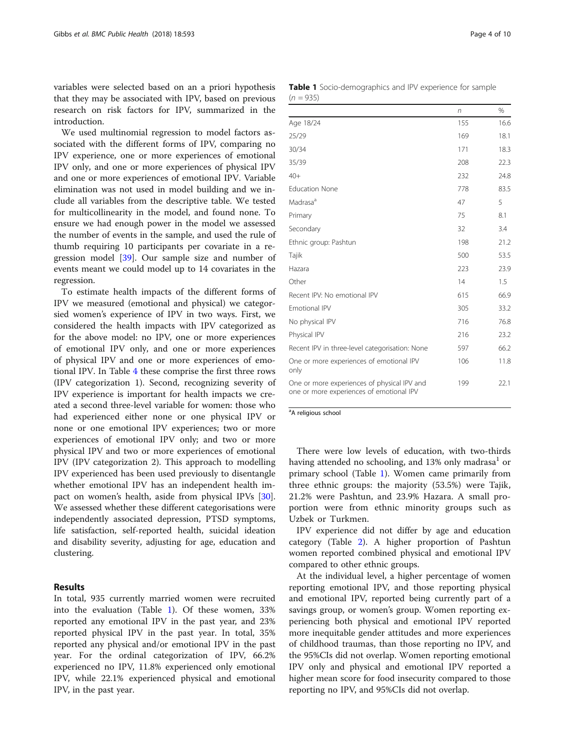<span id="page-3-0"></span>variables were selected based on an a priori hypothesis that they may be associated with IPV, based on previous research on risk factors for IPV, summarized in the introduction.

We used multinomial regression to model factors associated with the different forms of IPV, comparing no IPV experience, one or more experiences of emotional IPV only, and one or more experiences of physical IPV and one or more experiences of emotional IPV. Variable elimination was not used in model building and we include all variables from the descriptive table. We tested for multicollinearity in the model, and found none. To ensure we had enough power in the model we assessed the number of events in the sample, and used the rule of thumb requiring 10 participants per covariate in a regression model [\[39\]](#page-9-0). Our sample size and number of events meant we could model up to 14 covariates in the regression.

To estimate health impacts of the different forms of IPV we measured (emotional and physical) we categorsied women's experience of IPV in two ways. First, we considered the health impacts with IPV categorized as for the above model: no IPV, one or more experiences of emotional IPV only, and one or more experiences of physical IPV and one or more experiences of emotional IPV. In Table [4](#page-6-0) these comprise the first three rows (IPV categorization 1). Second, recognizing severity of IPV experience is important for health impacts we created a second three-level variable for women: those who had experienced either none or one physical IPV or none or one emotional IPV experiences; two or more experiences of emotional IPV only; and two or more physical IPV and two or more experiences of emotional IPV (IPV categorization 2). This approach to modelling IPV experienced has been used previously to disentangle whether emotional IPV has an independent health impact on women's health, aside from physical IPVs [\[30](#page-9-0)]. We assessed whether these different categorisations were independently associated depression, PTSD symptoms, life satisfaction, self-reported health, suicidal ideation and disability severity, adjusting for age, education and clustering.

## Results

In total, 935 currently married women were recruited into the evaluation (Table 1). Of these women, 33% reported any emotional IPV in the past year, and 23% reported physical IPV in the past year. In total, 35% reported any physical and/or emotional IPV in the past year. For the ordinal categorization of IPV, 66.2% experienced no IPV, 11.8% experienced only emotional IPV, while 22.1% experienced physical and emotional IPV, in the past year.

|             | <b>Table 1</b> Socio-demographics and IPV experience for sample |  |  |
|-------------|-----------------------------------------------------------------|--|--|
| $(n = 935)$ |                                                                 |  |  |

|                                                                                         | $\sqrt{n}$ | $\%$ |
|-----------------------------------------------------------------------------------------|------------|------|
| Age 18/24                                                                               | 155        | 16.6 |
| 25/29                                                                                   | 169        | 18.1 |
| 30/34                                                                                   | 171        | 18.3 |
| 35/39                                                                                   | 208        | 22.3 |
| $40+$                                                                                   | 232        | 24.8 |
| <b>Education None</b>                                                                   | 778        | 83.5 |
| Madrasa <sup>a</sup>                                                                    | 47         | 5    |
| Primary                                                                                 | 75         | 8.1  |
| Secondary                                                                               | 32         | 3.4  |
| Ethnic group: Pashtun                                                                   | 198        | 21.2 |
| Tajik                                                                                   | 500        | 53.5 |
| Hazara                                                                                  | 223        | 23.9 |
| Other                                                                                   | 14         | 1.5  |
| Recent IPV: No emotional IPV                                                            | 615        | 66.9 |
| <b>Fmotional IPV</b>                                                                    | 305        | 33.2 |
| No physical IPV                                                                         | 716        | 76.8 |
| Physical IPV                                                                            | 216        | 23.2 |
| Recent IPV in three-level categorisation: None                                          | 597        | 66.2 |
| One or more experiences of emotional IPV<br>only                                        | 106        | 11.8 |
| One or more experiences of physical IPV and<br>one or more experiences of emotional IPV | 199        | 22.1 |

<sup>a</sup>A religious school

There were low levels of education, with two-thirds having attended no schooling, and  $13\%$  only madrasa<sup>1</sup> or primary school (Table 1). Women came primarily from three ethnic groups: the majority (53.5%) were Tajik, 21.2% were Pashtun, and 23.9% Hazara. A small proportion were from ethnic minority groups such as Uzbek or Turkmen.

IPV experience did not differ by age and education category (Table [2](#page-4-0)). A higher proportion of Pashtun women reported combined physical and emotional IPV compared to other ethnic groups.

At the individual level, a higher percentage of women reporting emotional IPV, and those reporting physical and emotional IPV, reported being currently part of a savings group, or women's group. Women reporting experiencing both physical and emotional IPV reported more inequitable gender attitudes and more experiences of childhood traumas, than those reporting no IPV, and the 95%CIs did not overlap. Women reporting emotional IPV only and physical and emotional IPV reported a higher mean score for food insecurity compared to those reporting no IPV, and 95%CIs did not overlap.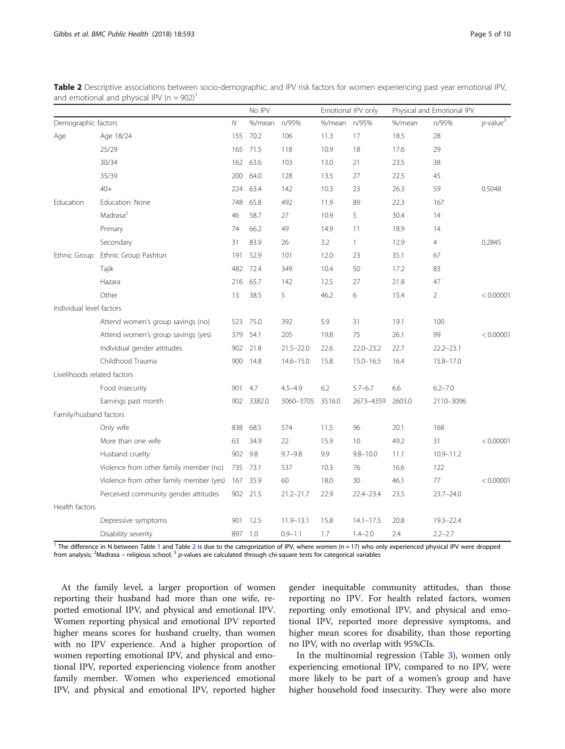|                             |                                         |              | No IPV       |               |              | Emotional IPV only |        | Physical and Emotional IPV |                         |
|-----------------------------|-----------------------------------------|--------------|--------------|---------------|--------------|--------------------|--------|----------------------------|-------------------------|
| Demographic factors         |                                         | $\mathcal N$ | %/mean n/95% |               | %/mean n/95% |                    | %/mean | n/95%                      | $p$ -value <sup>3</sup> |
| Age                         | Age 18/24                               | 155          | 70.2         | 106           | 11.3         | 17                 | 18.5   | 28                         |                         |
|                             | 25/29                                   | 165          | 71.5         | 118           | 10.9         | 18                 | 17.6   | 29                         |                         |
|                             | 30/34                                   |              | 162 63.6     | 103           | 13.0         | 21                 | 23.5   | 38                         |                         |
|                             | 35/39                                   | 200          | 64.0         | 128           | 13.5         | 27                 | 22.5   | 45                         |                         |
|                             | $40+$                                   | 224          | 63.4         | 142           | 10.3         | 23                 | 26.3   | 59                         | 0.5048                  |
| Education                   | Education: None                         | 748          | 65.8         | 492           | 11.9         | 89                 | 22.3   | 167                        |                         |
|                             | Madrasa <sup>2</sup>                    | 46           | 58.7         | 27            | 10.9         | 5                  | 30.4   | 14                         |                         |
|                             | Primary                                 | 74           | 66.2         | 49            | 14.9         | 11                 | 18.9   | 14                         |                         |
|                             | Secondary                               | 31           | 83.9         | 26            | 3.2          | $\mathbf{1}$       | 12.9   | $\overline{4}$             | 0.2845                  |
| Ethnic Group                | Ethnic Group Pashtun                    | 191          | 52.9         | 101           | 12.0         | 23                 | 35.1   | 67                         |                         |
|                             | Tajik                                   | 482          | 72.4         | 349           | 10.4         | 50                 | 17.2   | 83                         |                         |
|                             | Hazara                                  | 216          | 65.7         | 142           | 12.5         | 27                 | 21.8   | 47                         |                         |
|                             | Other                                   | 13           | 38.5         | 5             | 46.2         | 6                  | 15.4   | 2                          | < 0.00001               |
| Individual level factors    |                                         |              |              |               |              |                    |        |                            |                         |
|                             | Attend women's group savings (no)       | 523          | 75.0         | 392           | 5.9          | 31                 | 19.1   | 100                        |                         |
|                             | Attend women's group savings (yes)      | 379          | 54.1         | 205           | 19.8         | 75                 | 26.1   | 99                         | < 0.00001               |
|                             | Individual gender attitudes             |              | 902 21.8     | $21.5 - 22.0$ | 22.6         | $22.0 - 23.2$      | 22.7   | $22.2 - 23.1$              |                         |
|                             | Childhood Trauma                        | 900          | 14.8         | $14.6 - 15.0$ | 15.8         | $15.0 - 16.5$      | 16.4   | $15.8 - 17.0$              |                         |
| Livelihoods related factors |                                         |              |              |               |              |                    |        |                            |                         |
|                             | Food insecurity                         | 901          | 4.7          | $4.5 - 4.9$   | 6.2          | $5.7 - 6.7$        | 6.6    | $6.2 - 7.0$                |                         |
|                             | Earnings past month                     |              | 902 3382.0   | 3060-3705     | 3516.0       | 2673-4359          | 2603.0 | 2110-3096                  |                         |
| Family/husband factors      |                                         |              |              |               |              |                    |        |                            |                         |
|                             | Only wife                               | 838          | 68.5         | 574           | 11.5         | 96                 | 20.1   | 168                        |                         |
|                             | More than one wife                      | 63           | 34.9         | 22            | 15.9         | 10                 | 49.2   | 31                         | < 0.00001               |
|                             | Husband cruelty                         | 902          | 9.8          | $9.7 - 9.8$   | 9.9          | $9.8 - 10.0$       | 11.1   | $10.9 - 11.2$              |                         |
|                             | Violence from other family member (no)  |              | 735 73.1     | 537           | 10.3         | 76                 | 16.6   | 122                        |                         |
|                             | Violence from other family member (yes) | 167          | 35.9         | 60            | 18.0         | 30                 | 46.1   | 77                         | < 0.00001               |
|                             | Perceived community gender attitudes    |              | 902 21.5     | $21.2 - 21.7$ | 22.9         | $22.4 - 23.4$      | 23.5   | $23.7 - 24.0$              |                         |
| Health factors              |                                         |              |              |               |              |                    |        |                            |                         |
|                             | Depressive symptoms                     | 901          | 12.5         | $11.9 - 13.1$ | 15.8         | $14.1 - 17.5$      | 20.8   | $19.3 - 22.4$              |                         |
|                             | Disability severity                     | 897          | 1.0          | $0.9 - 1.1$   | 1.7          | $1.4 - 2.0$        | 2.4    | $2.2 - 2.7$                |                         |

<span id="page-4-0"></span>Table 2 Descriptive associations between socio-demographic, and IPV risk factors for women experiencing past year emotional IPV, and emotional and physical IPV ( $n = 902$ )<sup>1</sup>

<sup>[1](#page-3-0)</sup> The difference in N between Table 1 and Table 2 is due to the categorization of IPV, where women (n = 17) who only experienced physical IPV were dropped from analysis; <sup>2</sup>Madrasa – religious school; <sup>3</sup> p-values are calculated through chi-square tests for categorical variables

At the family level, a larger proportion of women reporting their husband had more than one wife, reported emotional IPV, and physical and emotional IPV. Women reporting physical and emotional IPV reported higher means scores for husband cruelty, than women with no IPV experience. And a higher proportion of women reporting emotional IPV, and physical and emotional IPV, reported experiencing violence from another family member. Women who experienced emotional IPV, and physical and emotional IPV, reported higher

gender inequitable community attitudes, than those reporting no IPV. For health related factors, women reporting only emotional IPV, and physical and emotional IPV, reported more depressive symptoms, and higher mean scores for disability, than those reporting no IPV, with no overlap with 95%CIs.

In the multinomial regression (Table [3](#page-5-0)), women only experiencing emotional IPV, compared to no IPV, were more likely to be part of a women's group and have higher household food insecurity. They were also more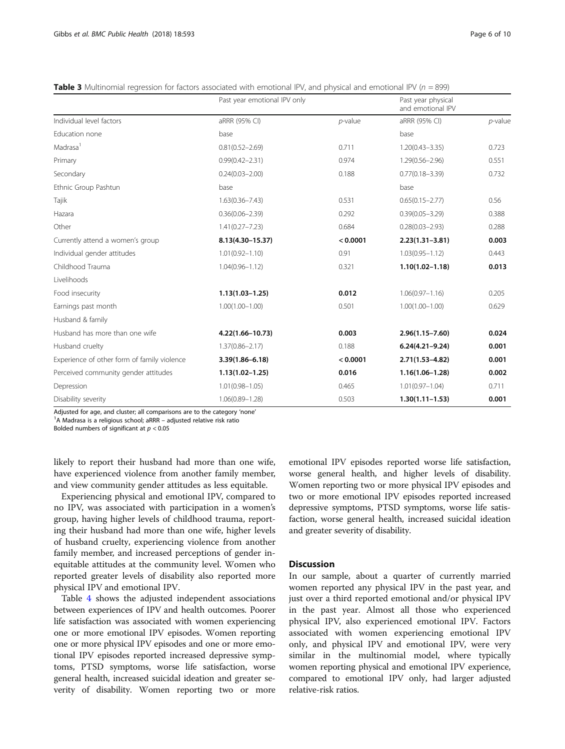|                                             | Past year emotional IPV only |            | Past year physical<br>and emotional IPV |            |
|---------------------------------------------|------------------------------|------------|-----------------------------------------|------------|
| Individual level factors                    | aRRR (95% CI)                | $p$ -value | aRRR (95% CI)                           | $p$ -value |
| Education none                              | base                         |            | base                                    |            |
| Madrasa <sup>1</sup>                        | $0.81(0.52 - 2.69)$          | 0.711      | $1.20(0.43 - 3.35)$                     | 0.723      |
| Primary                                     | $0.99(0.42 - 2.31)$          | 0.974      | $1.29(0.56 - 2.96)$                     | 0.551      |
| Secondary                                   | $0.24(0.03 - 2.00)$          | 0.188      | $0.77(0.18 - 3.39)$                     | 0.732      |
| Ethnic Group Pashtun                        | base                         |            | base                                    |            |
| Tajik                                       | $1.63(0.36 - 7.43)$          | 0.531      | $0.65(0.15 - 2.77)$                     | 0.56       |
| Hazara                                      | $0.36(0.06 - 2.39)$          | 0.292      | $0.39(0.05 - 3.29)$                     | 0.388      |
| Other                                       | $1.41(0.27 - 7.23)$          | 0.684      | $0.28(0.03 - 2.93)$                     | 0.288      |
| Currently attend a women's group            | 8.13(4.30-15.37)             | < 0.0001   | $2.23(1.31 - 3.81)$                     | 0.003      |
| Individual gender attitudes                 | $1.01(0.92 - 1.10)$          | 0.91       | $1.03(0.95 - 1.12)$                     | 0.443      |
| Childhood Trauma                            | $1.04(0.96 - 1.12)$          | 0.321      | $1.10(1.02 - 1.18)$                     | 0.013      |
| Livelihoods                                 |                              |            |                                         |            |
| Food insecurity                             | $1.13(1.03 - 1.25)$          | 0.012      | $1.06(0.97 - 1.16)$                     | 0.205      |
| Earnings past month                         | $1.00(1.00 - 1.00)$          | 0.501      | $1.00(1.00 - 1.00)$                     | 0.629      |
| Husband & family                            |                              |            |                                         |            |
| Husband has more than one wife              | 4.22(1.66-10.73)             | 0.003      | $2.96(1.15 - 7.60)$                     | 0.024      |
| Husband cruelty                             | $1.37(0.86 - 2.17)$          | 0.188      | $6.24(4.21 - 9.24)$                     | 0.001      |
| Experience of other form of family violence | $3.39(1.86 - 6.18)$          | < 0.0001   | $2.71(1.53 - 4.82)$                     | 0.001      |
| Perceived community gender attitudes        | $1.13(1.02 - 1.25)$          | 0.016      | $1.16(1.06 - 1.28)$                     | 0.002      |
| Depression                                  | $1.01(0.98 - 1.05)$          | 0.465      | $1.01(0.97 - 1.04)$                     | 0.711      |
| Disability severity                         | $1.06(0.89 - 1.28)$          | 0.503      | $1.30(1.11 - 1.53)$                     | 0.001      |

<span id="page-5-0"></span>**Table 3** Multinomial regression for factors associated with emotional IPV, and physical and emotional IPV ( $n = 899$ )

Adjusted for age, and cluster; all comparisons are to the category 'none'

 $A^1$ A Madrasa is a religious school; aRRR – adjusted relative risk ratio

Bolded numbers of significant at  $p < 0.05$ 

likely to report their husband had more than one wife, have experienced violence from another family member, and view community gender attitudes as less equitable.

Experiencing physical and emotional IPV, compared to no IPV, was associated with participation in a women's group, having higher levels of childhood trauma, reporting their husband had more than one wife, higher levels of husband cruelty, experiencing violence from another family member, and increased perceptions of gender inequitable attitudes at the community level. Women who reported greater levels of disability also reported more physical IPV and emotional IPV.

Table [4](#page-6-0) shows the adjusted independent associations between experiences of IPV and health outcomes. Poorer life satisfaction was associated with women experiencing one or more emotional IPV episodes. Women reporting one or more physical IPV episodes and one or more emotional IPV episodes reported increased depressive symptoms, PTSD symptoms, worse life satisfaction, worse general health, increased suicidal ideation and greater severity of disability. Women reporting two or more emotional IPV episodes reported worse life satisfaction, worse general health, and higher levels of disability. Women reporting two or more physical IPV episodes and two or more emotional IPV episodes reported increased depressive symptoms, PTSD symptoms, worse life satisfaction, worse general health, increased suicidal ideation and greater severity of disability.

## **Discussion**

In our sample, about a quarter of currently married women reported any physical IPV in the past year, and just over a third reported emotional and/or physical IPV in the past year. Almost all those who experienced physical IPV, also experienced emotional IPV. Factors associated with women experiencing emotional IPV only, and physical IPV and emotional IPV, were very similar in the multinomial model, where typically women reporting physical and emotional IPV experience, compared to emotional IPV only, had larger adjusted relative-risk ratios.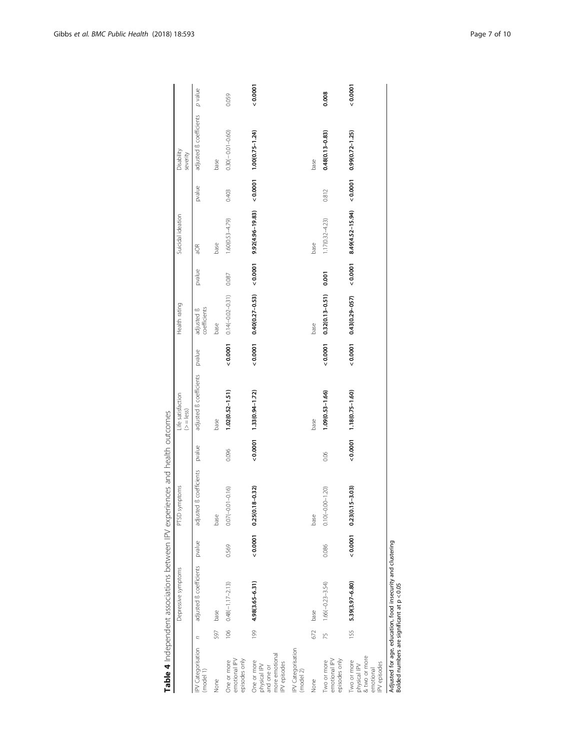<span id="page-6-0"></span>

|                                                                             |                | Depressive symptoms                                         |        | PTSD symptoms              |        | Life satisfaction<br>$(>= $ ess) |        | Health rating                      |        | Suicidal ideation                                                                                                     |        | Disability<br>severity  |         |
|-----------------------------------------------------------------------------|----------------|-------------------------------------------------------------|--------|----------------------------|--------|----------------------------------|--------|------------------------------------|--------|-----------------------------------------------------------------------------------------------------------------------|--------|-------------------------|---------|
| <b>PV</b> Categorisation<br>(model 1)                                       | $\overline{a}$ | adjusted ß coefficients                                     | pvalue | adjusted B coefficients    | pvalue | adjusted ß coefficients          | pvalue | coefficients<br>adjusted <b>ß</b>  | pvalue | aOR                                                                                                                   | pvalue | adjusted ß coefficients | p value |
| None                                                                        | 597            | base                                                        |        | base                       |        | base                             |        | base                               |        | base                                                                                                                  |        | base                    |         |
| emotional IPV<br>episodes only<br>One or more                               |                | $106$ $0.48(-1.17-2.13)$                                    | 0.569  | $0.07(-0.01-0.16)$         | 0.096  | $1.02(0.52 - 1.51)$              |        | $0.00001$ $0.14(-0.02-0.31)$ 0.087 |        | $1.60(0.53 - 4.79)$                                                                                                   | 0.403  | $0.30(-0.01-0.60)$      | 0.059   |
| more emotional<br>One or more<br>IPV episodes<br>physical IPV<br>and one or | 199            | 4.98(3.65-6.31)                                             | 0.0001 | $18 - 0.32$<br>0.25(0.1)   |        | $(51, 1-160011133(0.94-1.72))$   | 0.0001 |                                    |        | $0.40(0.27-0.53)$ < $0.0001$ 9.92(4.96-19.83) < $0.0001$ 1.00(0.75-1.24)                                              |        |                         | 0.0001  |
| IPV Categorisation<br>(mod 2)                                               |                |                                                             |        |                            |        |                                  |        |                                    |        |                                                                                                                       |        |                         |         |
| None                                                                        | 672            | base                                                        |        | base                       |        | base                             |        | base                               |        | base                                                                                                                  |        | base                    |         |
| episodes only<br>emotional IPV<br>Two or more                               | 75             | $1.66(-0.23 - 3.54)$                                        | 0.086  | $0.10(-0.00 - 1.20)$       | 0.06   | $1.09(0.53 - 1.66)$              | 0.0001 | $0.32(0.13 - 0.51)$ 0.001          |        | $1.17(0.32 - 4.23)$                                                                                                   | 0.812  | $0.48(0.13 - 0.83)$     | 0.008   |
| & two or more<br>Two or more<br>IPV episodes<br>physical IPV<br>emotional   |                | 155 5.39(3.97-6.80)                                         |        | $< 0.0001$ 0.23(0.15-3.03) |        | $< 0.0001$ $1.18(0.75 - 1.60)$   |        |                                    |        | $(2.1 - 2(0.0001 \quad 0.43(0.29 - 0.57)) \quad 0.0001 \quad 0.49(4.52 - 15.94) \quad 0.0001 \quad 0.99(0.72 - 1.25)$ |        |                         | 0.0001  |
| Bolded numbers are significant at p < 0.05                                  |                | Adjusted for age, education, food insecurity and clustering |        |                            |        |                                  |        |                                    |        |                                                                                                                       |        |                         |         |

Table 4 Independent associations between IPV experiences and health outcomes Table 4 Independent associations between IPV experiences and health outcomes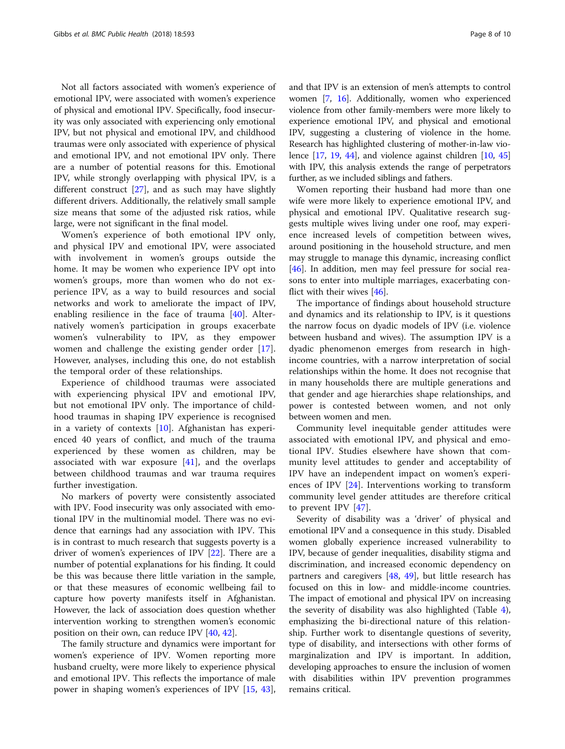Not all factors associated with women's experience of emotional IPV, were associated with women's experience of physical and emotional IPV. Specifically, food insecurity was only associated with experiencing only emotional IPV, but not physical and emotional IPV, and childhood traumas were only associated with experience of physical and emotional IPV, and not emotional IPV only. There are a number of potential reasons for this. Emotional IPV, while strongly overlapping with physical IPV, is a different construct [[27\]](#page-9-0), and as such may have slightly different drivers. Additionally, the relatively small sample size means that some of the adjusted risk ratios, while large, were not significant in the final model.

Women's experience of both emotional IPV only, and physical IPV and emotional IPV, were associated with involvement in women's groups outside the home. It may be women who experience IPV opt into women's groups, more than women who do not experience IPV, as a way to build resources and social networks and work to ameliorate the impact of IPV, enabling resilience in the face of trauma [\[40](#page-9-0)]. Alternatively women's participation in groups exacerbate women's vulnerability to IPV, as they empower women and challenge the existing gender order [\[17](#page-9-0)]. However, analyses, including this one, do not establish the temporal order of these relationships.

Experience of childhood traumas were associated with experiencing physical IPV and emotional IPV, but not emotional IPV only. The importance of childhood traumas in shaping IPV experience is recognised in a variety of contexts [[10\]](#page-8-0). Afghanistan has experienced 40 years of conflict, and much of the trauma experienced by these women as children, may be associated with war exposure [\[41\]](#page-9-0), and the overlaps between childhood traumas and war trauma requires further investigation.

No markers of poverty were consistently associated with IPV. Food insecurity was only associated with emotional IPV in the multinomial model. There was no evidence that earnings had any association with IPV. This is in contrast to much research that suggests poverty is a driver of women's experiences of IPV [\[22](#page-9-0)]. There are a number of potential explanations for his finding. It could be this was because there little variation in the sample, or that these measures of economic wellbeing fail to capture how poverty manifests itself in Afghanistan. However, the lack of association does question whether intervention working to strengthen women's economic position on their own, can reduce IPV [[40,](#page-9-0) [42\]](#page-9-0).

The family structure and dynamics were important for women's experience of IPV. Women reporting more husband cruelty, were more likely to experience physical and emotional IPV. This reflects the importance of male power in shaping women's experiences of IPV [\[15](#page-9-0), [43](#page-9-0)], and that IPV is an extension of men's attempts to control women [\[7,](#page-8-0) [16](#page-9-0)]. Additionally, women who experienced violence from other family-members were more likely to experience emotional IPV, and physical and emotional IPV, suggesting a clustering of violence in the home. Research has highlighted clustering of mother-in-law violence  $[17, 19, 44]$  $[17, 19, 44]$  $[17, 19, 44]$  $[17, 19, 44]$  $[17, 19, 44]$  $[17, 19, 44]$ , and violence against children  $[10, 45]$  $[10, 45]$  $[10, 45]$  $[10, 45]$ with IPV, this analysis extends the range of perpetrators further, as we included siblings and fathers.

Women reporting their husband had more than one wife were more likely to experience emotional IPV, and physical and emotional IPV. Qualitative research suggests multiple wives living under one roof, may experience increased levels of competition between wives, around positioning in the household structure, and men may struggle to manage this dynamic, increasing conflict [[46\]](#page-9-0). In addition, men may feel pressure for social reasons to enter into multiple marriages, exacerbating conflict with their wives [\[46](#page-9-0)].

The importance of findings about household structure and dynamics and its relationship to IPV, is it questions the narrow focus on dyadic models of IPV (i.e. violence between husband and wives). The assumption IPV is a dyadic phenomenon emerges from research in highincome countries, with a narrow interpretation of social relationships within the home. It does not recognise that in many households there are multiple generations and that gender and age hierarchies shape relationships, and power is contested between women, and not only between women and men.

Community level inequitable gender attitudes were associated with emotional IPV, and physical and emotional IPV. Studies elsewhere have shown that community level attitudes to gender and acceptability of IPV have an independent impact on women's experiences of IPV [\[24](#page-9-0)]. Interventions working to transform community level gender attitudes are therefore critical to prevent IPV [[47\]](#page-9-0).

Severity of disability was a 'driver' of physical and emotional IPV and a consequence in this study. Disabled women globally experience increased vulnerability to IPV, because of gender inequalities, disability stigma and discrimination, and increased economic dependency on partners and caregivers  $[48, 49]$  $[48, 49]$  $[48, 49]$  $[48, 49]$ , but little research has focused on this in low- and middle-income countries. The impact of emotional and physical IPV on increasing the severity of disability was also highlighted (Table [4](#page-6-0)), emphasizing the bi-directional nature of this relationship. Further work to disentangle questions of severity, type of disability, and intersections with other forms of marginalization and IPV is important. In addition, developing approaches to ensure the inclusion of women with disabilities within IPV prevention programmes remains critical.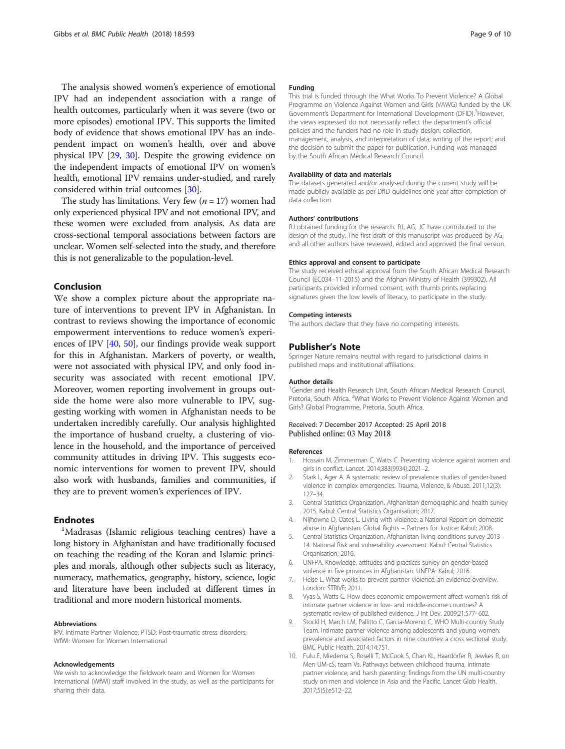<span id="page-8-0"></span>The analysis showed women's experience of emotional IPV had an independent association with a range of health outcomes, particularly when it was severe (two or more episodes) emotional IPV. This supports the limited body of evidence that shows emotional IPV has an independent impact on women's health, over and above physical IPV [\[29](#page-9-0), [30](#page-9-0)]. Despite the growing evidence on the independent impacts of emotional IPV on women's health, emotional IPV remains under-studied, and rarely considered within trial outcomes [[30](#page-9-0)].

The study has limitations. Very few  $(n = 17)$  women had only experienced physical IPV and not emotional IPV, and these women were excluded from analysis. As data are cross-sectional temporal associations between factors are unclear. Women self-selected into the study, and therefore this is not generalizable to the population-level.

## Conclusion

We show a complex picture about the appropriate nature of interventions to prevent IPV in Afghanistan. In contrast to reviews showing the importance of economic empowerment interventions to reduce women's experiences of IPV [\[40](#page-9-0), [50](#page-9-0)], our findings provide weak support for this in Afghanistan. Markers of poverty, or wealth, were not associated with physical IPV, and only food insecurity was associated with recent emotional IPV. Moreover, women reporting involvement in groups outside the home were also more vulnerable to IPV, suggesting working with women in Afghanistan needs to be undertaken incredibly carefully. Our analysis highlighted the importance of husband cruelty, a clustering of violence in the household, and the importance of perceived community attitudes in driving IPV. This suggests economic interventions for women to prevent IPV, should also work with husbands, families and communities, if they are to prevent women's experiences of IPV.

## **Endnotes**

<sup>1</sup>Madrasas (Islamic religious teaching centres) have a long history in Afghanistan and have traditionally focused on teaching the reading of the Koran and Islamic principles and morals, although other subjects such as literacy, numeracy, mathematics, geography, history, science, logic and literature have been included at different times in traditional and more modern historical moments.

#### Abbreviations

IPV: Intimate Partner Violence; PTSD: Post-traumatic stress disorders; WfWI: Women for Women International

#### Acknowledgements

We wish to acknowledge the fieldwork team and Women for Women International (WfWI) staff involved in the study, as well as the participants for sharing their data.

#### Funding

This trial is funded through the What Works To Prevent Violence? A Global Programme on Violence Against Women and Girls (VAWG) funded by the UK Government's Department for International Development (DFID).<sup>3</sup> However the views expressed do not necessarily reflect the department's official policies and the funders had no role in study design; collection, management, analysis, and interpretation of data; writing of the report; and the decision to submit the paper for publication. Funding was managed by the South African Medical Research Council.

#### Availability of data and materials

The datasets generated and/or analysed during the current study will be made publicly available as per DfID guidelines one year after completion of data collection.

#### Authors' contributions

RJ obtained funding for the research. RJ, AG, JC have contributed to the design of the study. The first draft of this manuscript was produced by AG, and all other authors have reviewed, edited and approved the final version.

## Ethics approval and consent to participate

The study received ethical approval from the South African Medical Research Council (EC034–11-2015) and the Afghan Ministry of Health (399302). All participants provided informed consent, with thumb prints replacing signatures given the low levels of literacy, to participate in the study.

#### Competing interests

The authors declare that they have no competing interests.

### Publisher's Note

Springer Nature remains neutral with regard to jurisdictional claims in published maps and institutional affiliations.

#### Author details

<sup>1</sup>Gender and Health Research Unit, South African Medical Research Council, Pretoria, South Africa. <sup>2</sup>What Works to Prevent Violence Against Women and Girls? Global Programme, Pretoria, South Africa.

## Received: 7 December 2017 Accepted: 25 April 2018 Published online: 03 May 2018

#### References

- 1. Hossain M, Zimmerman C, Watts C. Preventing violence against women and girls in conflict. Lancet. 2014;383(9934):2021–2.
- 2. Stark L, Ager A. A systematic review of prevalence studies of gender-based violence in complex emergencies. Trauma, Violence, & Abuse. 2011;12(3): 127–34.
- 3. Central Statistics Organization. Afghanistan demographic and health survey 2015. Kabul: Central Statistics Organisation; 2017.
- 4. Nijhowne D, Oates L. Living with violence: a National Report on domestic abuse in Afghanistan. Global Rights – Partners for Justice: Kabul; 2008.
- 5. Central Statistics Organization. Afghanistan living conditions survey 2013– 14. National Risk and vulnerability assessment. Kabul: Central Statistics Organisation; 2016.
- 6. UNFPA. Knowledge, attitudes and practices survey on gender-based violence in five provinces in Afghanistan. UNFPA: Kabul; 2016.
- 7. Heise L. What works to prevent partner violence: an evidence overview. London: STRIVE; 2011.
- 8. Vyas S, Watts C. How does economic empowerment affect women's risk of intimate partner violence in low- and middle-income countries? A systematic review of published evidence. J Int Dev. 2009;21:577–602.
- 9. Stockl H, March LM, Pallitto C, Garcia-Moreno C, WHO Multi-country Study Team. Intimate partner violence among adolescents and young women: prevalence and associated factors in nine countries: a cross sectional study. BMC Public Health. 2014;14:751.
- 10. Fulu E, Miedema S, Roselli T, McCook S, Chan KL, Haardörfer R, Jewkes R, on Men UM-cS, team Vs. Pathways between childhood trauma, intimate partner violence, and harsh parenting: findings from the UN multi-country study on men and violence in Asia and the Pacific. Lancet Glob Health. 2017;5(5):e512–22.